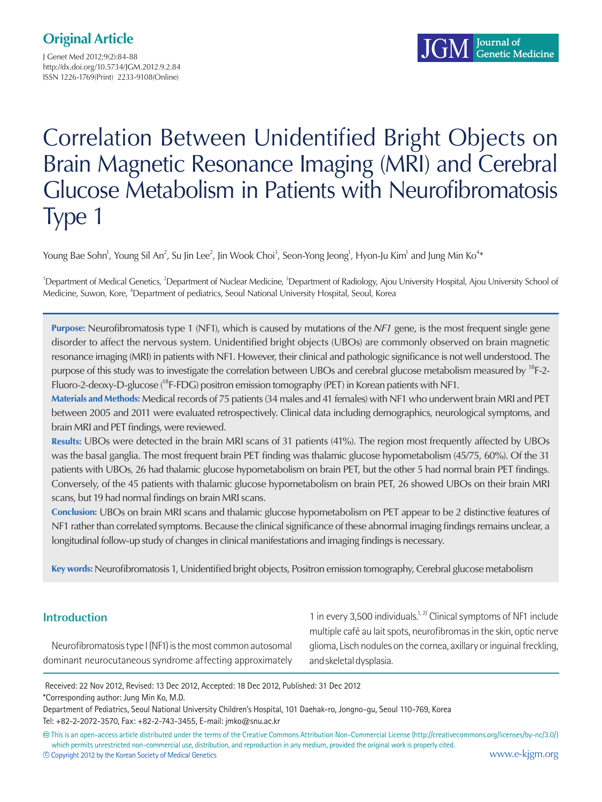J Genet Med 2012;9(2):84-88 http://dx.doi.org/10.5734/JGM.2012.9.2.84 ISSN 1226-1769(Print) 2233-9108(Online)

# Correlation Between Unidentified Bright Objects on Brain Magnetic Resonance Imaging (MRI) and Cerebral Glucose Metabolism in Patients with Neurofibromatosis Type 1

Young Bae Sohn<sup>1</sup>, Young Sil An<sup>2</sup>, Su Jin Lee<sup>2</sup>, Jin Wook Choi<sup>3</sup>, Seon-Yong Jeong<sup>1</sup>, Hyon-Ju Kim<sup>1</sup> and Jung Min Ko<sup>4</sup>\*

<sup>1</sup>Department of Medical Genetics, <sup>2</sup>Department of Nuclear Medicine, <sup>3</sup>Department of Radiology, Ajou University Hospital, Ajou University School of Medicine, Suwon, Kore, <sup>4</sup>Department of pediatrics, Seoul National University Hospital, Seoul, Korea

**Purpose:** Neurofibromatosis type 1 (NF1), which is caused by mutations of the *NF1* gene, is the most frequent single gene disorder to affect the nervous system. Unidentified bright objects (UBOs) are commonly observed on brain magnetic resonance imaging (MRI) in patients with NF1. However, their clinical and pathologic significance is not well understood. The purpose of this study was to investigate the correlation between UBOs and cerebral glucose metabolism measured by <sup>18</sup>F-2-Fluoro-2-deoxy-D-glucose (18F-FDG) positron emission tomography (PET) in Korean patients with NF1.

**Materials and Methods:** Medical records of 75 patients (34 males and 41 females) with NF1 who underwent brain MRI and PET between 2005 and 2011 were evaluated retrospectively. Clinical data including demographics, neurological symptoms, and brain MRI and PET findings, were reviewed.

**Results:** UBOs were detected in the brain MRI scans of 31 patients (41%). The region most frequently affected by UBOs was the basal ganglia. The most frequent brain PET finding was thalamic glucose hypometabolism (45/75, 60%). Of the 31 patients with UBOs, 26 had thalamic glucose hypometabolism on brain PET, but the other 5 had normal brain PET findings. Conversely, of the 45 patients with thalamic glucose hypometabolism on brain PET, 26 showed UBOs on their brain MRI scans, but 19 had normal findings on brain MRI scans.

**Conclusion:** UBOs on brain MRI scans and thalamic glucose hypometabolism on PET appear to be 2 distinctive features of NF1 rather than correlated symptoms. Because the clinical significance of these abnormal imaging findings remains unclear, a longitudinal follow-up study of changes in clinical manifestations and imaging findings is necessary.

**Key words:** Neurofibromatosis 1, Unidentified bright objects, Positron emission tomography, Cerebral glucose metabolism

## **Introduction**

Neurofibromatosis type I (NF1) is the most common autosomal dominant neurocutaneous syndrome affecting approximately

1 in every 3,500 individuals.<sup>1, 2)</sup> Clinical symptoms of NF1 include multiple café au lait spots, neurofibromas in the skin, optic nerve glioma, Lisch nodules on the cornea, axillary or inguinal freckling, and skeletal dysplasia.

 Received: 22 Nov 2012, Revised: 13 Dec 2012, Accepted: 18 Dec 2012, Published: 31 Dec 2012 \*Corresponding author: Jung Min Ko, M.D.

Department of Pediatrics, Seoul National University Children's Hospital, 101 Daehak-ro, Jongno-gu, Seoul 110-769, Korea Tel: +82-2-2072-3570, Fax: +82-2-743-3455, E-mail: jmko@snu.ac.kr

**<sup>㏄</sup>** This is an open-access article distributed under the terms of the Creative Commons Attribution Non-Commercial License (http://creativecommons.org/licenses/by-nc/3.0/) which permits unrestricted non-commercial use, distribution, and reproduction in any medium, provided the original work is properly cited.

**<sup>c</sup>** Copyright 2012 by the Korean Society of Medical Genetics www.e-kjgm.org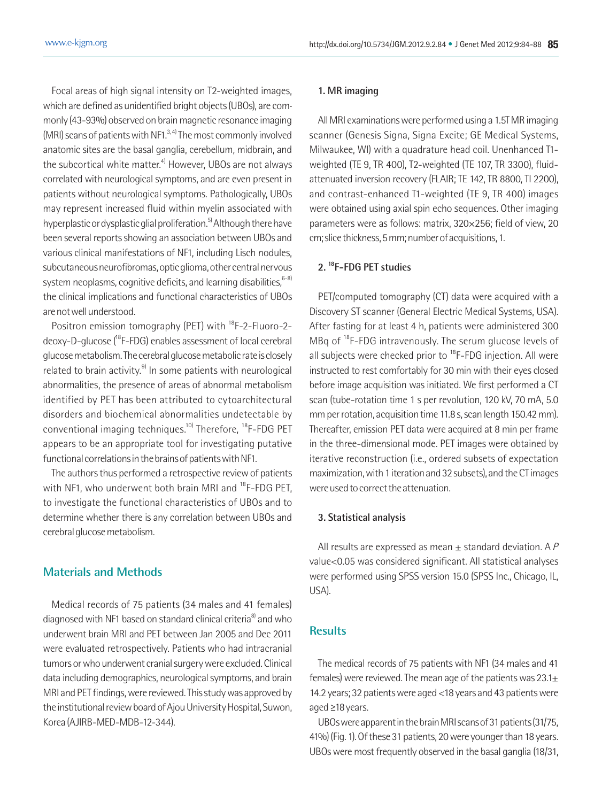Focal areas of high signal intensity on T2-weighted images, which are defined as unidentified bright objects (UBOs), are commonly (43-93%) observed on brain magnetic resonance imaging (MRI) scans of patients with NF1. $^{3,4)}$  The most commonly involved anatomic sites are the basal ganglia, cerebellum, midbrain, and the subcortical white matter. $4$ <sup>)</sup> However, UBOs are not always correlated with neurological symptoms, and are even present in patients without neurological symptoms. Pathologically, UBOs may represent increased fluid within myelin associated with hyperplastic or dysplastic glial proliferation.<sup>5)</sup> Although there have been several reports showing an association between UBOs and various clinical manifestations of NF1, including Lisch nodules, subcutaneous neurofibromas, optic glioma, other central nervous system neoplasms, cognitive deficits, and learning disabilities,  $6-8$ the clinical implications and functional characteristics of UBOs are not well understood.

Positron emission tomography (PET) with <sup>18</sup>F-2-Fluoro-2deoxy-D-glucose (18F-FDG) enables assessment of local cerebral glucose metabolism. The cerebral glucose metabolic rate is closely related to brain activity. $9$  In some patients with neurological abnormalities, the presence of areas of abnormal metabolism identified by PET has been attributed to cytoarchitectural disorders and biochemical abnormalities undetectable by conventional imaging techniques.<sup>10)</sup> Therefore, <sup>18</sup>F-FDG PET appears to be an appropriate tool for investigating putative functional correlations in the brains of patients with NF1.

The authors thus performed a retrospective review of patients with NF1, who underwent both brain MRI and  $^{18}$ F-FDG PET, to investigate the functional characteristics of UBOs and to determine whether there is any correlation between UBOs and cerebral glucose metabolism.

### **Materials and Methods**

Medical records of 75 patients (34 males and 41 females) diagnosed with NF1 based on standard clinical criteria<sup>8</sup> and who underwent brain MRI and PET between Jan 2005 and Dec 2011 were evaluated retrospectively. Patients who had intracranial tumors or who underwent cranial surgery were excluded. Clinical data including demographics, neurological symptoms, and brain MRI and PET findings, were reviewed. This study was approved by the institutional review board of Ajou University Hospital, Suwon, Korea (AJIRB-MED-MDB-12-344).

#### **1. MR imaging**

All MRI examinations were performed using a 1.5T MR imaging scanner (Genesis Signa, Signa Excite; GE Medical Systems, Milwaukee, WI) with a quadrature head coil. Unenhanced T1 weighted (TE 9, TR 400), T2-weighted (TE 107, TR 3300), fluidattenuated inversion recovery (FLAIR; TE 142, TR 8800, TI 2200), and contrast-enhanced T1-weighted (TE 9, TR 400) images were obtained using axial spin echo sequences. Other imaging parameters were as follows: matrix, 320×256; field of view, 20 cm; slice thickness, 5 mm; number of acquisitions, 1.

## **2. 18F-FDG PET studies**

PET/computed tomography (CT) data were acquired with a Discovery ST scanner (General Electric Medical Systems, USA). After fasting for at least 4 h, patients were administered 300 MBq of <sup>18</sup>F-FDG intravenously. The serum glucose levels of all subjects were checked prior to  $^{18}$ F-FDG injection. All were instructed to rest comfortably for 30 min with their eyes closed before image acquisition was initiated. We first performed a CT scan (tube-rotation time 1 s per revolution, 120 kV, 70 mA, 5.0 mm per rotation, acquisition time 11.8 s, scan length 150.42 mm). Thereafter, emission PET data were acquired at 8 min per frame in the three-dimensional mode. PET images were obtained by iterative reconstruction (i.e., ordered subsets of expectation maximization, with 1 iteration and 32 subsets), and the CT images were used to correct the attenuation.

#### **3. Statistical analysis**

All results are expressed as mean  $\pm$  standard deviation. A P value<0.05 was considered significant. All statistical analyses were performed using SPSS version 15.0 (SPSS Inc., Chicago, IL, USA).

### **Results**

The medical records of 75 patients with NF1 (34 males and 41 females) were reviewed. The mean age of the patients was  $23.1<sub>±</sub>$ 14.2 years; 32 patients were aged <18 years and 43 patients were aged ≥18 years.

UBOs were apparent in the brain MRI scans of 31 patients (31/75, 41%) (Fig. 1). Of these 31 patients, 20 were younger than 18 years. UBOs were most frequently observed in the basal ganglia (18/31,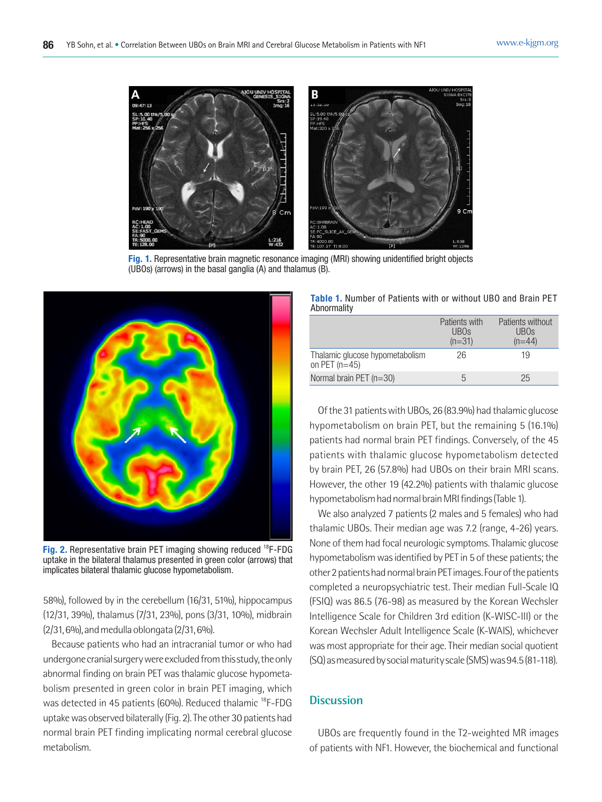

**Fig. 1.** Representative brain magnetic resonance imaging (MRI) showing unidentified bright objects (UBOs) (arrows) in the basal ganglia (A) and thalamus (B).



**Fig. 2.** Representative brain PET imaging showing reduced <sup>18</sup>F-FDG uptake in the bilateral thalamus presented in green color (arrows) that implicates bilateral thalamic glucose hypometabolism.

58%), followed by in the cerebellum (16/31, 51%), hippocampus (12/31, 39%), thalamus (7/31, 23%), pons (3/31, 10%), midbrain (2/31, 6%), and medulla oblongata (2/31, 6%).

Because patients who had an intracranial tumor or who had undergone cranial surgery were excluded from this study, the only abnormal finding on brain PET was thalamic glucose hypometabolism presented in green color in brain PET imaging, which was detected in 45 patients (60%). Reduced thalamic <sup>18</sup>F-FDG uptake was observed bilaterally (Fig. 2). The other 30 patients had normal brain PET finding implicating normal cerebral glucose metabolism.

**Table 1.** Number of Patients with or without UBO and Brain PET Abnormality

|                                                    | Patients with<br>UBO <sub>s</sub><br>$(n=31)$ | Patients without<br>UB <sub>Os</sub><br>$(n=44)$ |
|----------------------------------------------------|-----------------------------------------------|--------------------------------------------------|
| Thalamic glucose hypometabolism<br>on PET $(n=45)$ | 26                                            | 19                                               |
| Normal brain PET $(n=30)$                          | h                                             | 25                                               |

Of the 31 patients with UBOs, 26 (83.9%) had thalamic glucose hypometabolism on brain PET, but the remaining 5 (16.1%) patients had normal brain PET findings. Conversely, of the 45 patients with thalamic glucose hypometabolism detected by brain PET, 26 (57.8%) had UBOs on their brain MRI scans. However, the other 19 (42.2%) patients with thalamic glucose hypometabolism had normal brain MRI findings (Table 1).

We also analyzed 7 patients (2 males and 5 females) who had thalamic UBOs. Their median age was 7.2 (range, 4-26) years. None of them had focal neurologic symptoms. Thalamic glucose hypometabolism was identified by PET in 5 of these patients; the other 2 patients had normal brain PET images. Four of the patients completed a neuropsychiatric test. Their median Full-Scale IQ (FSIQ) was 86.5 (76-98) as measured by the Korean Wechsler Intelligence Scale for Children 3rd edition (K-WISC-III) or the Korean Wechsler Adult Intelligence Scale (K-WAIS), whichever was most appropriate for their age. Their median social quotient (SQ) as measured by social maturity scale (SMS) was 94.5 (81-118).

#### **Discussion**

UBOs are frequently found in the T2-weighted MR images of patients with NF1. However, the biochemical and functional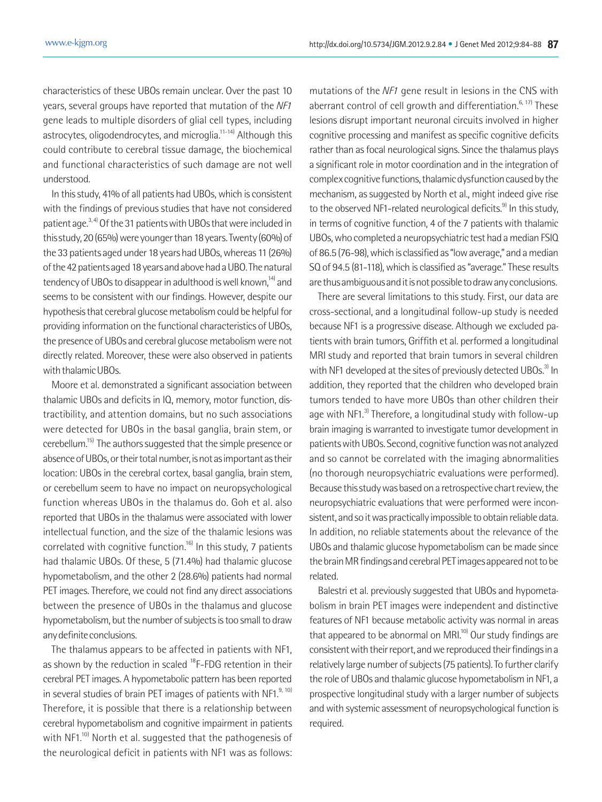characteristics of these UBOs remain unclear. Over the past 10 years, several groups have reported that mutation of the NF1 gene leads to multiple disorders of glial cell types, including astrocytes, oligodendrocytes, and microglia.<sup>11-14)</sup> Although this could contribute to cerebral tissue damage, the biochemical and functional characteristics of such damage are not well understood.

In this study, 41% of all patients had UBOs, which is consistent with the findings of previous studies that have not considered patient age.3, 4) Of the 31 patients with UBOs that were included in this study, 20 (65%) were younger than 18 years. Twenty (60%) of the 33 patients aged under 18 years had UBOs, whereas 11 (26%) of the 42 patients aged 18 years and above had a UBO. The natural tendency of UBOs to disappear in adulthood is well known,<sup>14)</sup> and seems to be consistent with our findings. However, despite our hypothesis that cerebral glucose metabolism could be helpful for providing information on the functional characteristics of UBOs, the presence of UBOs and cerebral glucose metabolism were not directly related. Moreover, these were also observed in patients with thalamic UBOs.

Moore et al. demonstrated a significant association between thalamic UBOs and deficits in IQ, memory, motor function, distractibility, and attention domains, but no such associations were detected for UBOs in the basal ganglia, brain stem, or cerebellum.15) The authors suggested that the simple presence or absence of UBOs, or their total number, is not as important as their location: UBOs in the cerebral cortex, basal ganglia, brain stem, or cerebellum seem to have no impact on neuropsychological function whereas UBOs in the thalamus do. Goh et al. also reported that UBOs in the thalamus were associated with lower intellectual function, and the size of the thalamic lesions was correlated with cognitive function.<sup>16)</sup> In this study, 7 patients had thalamic UBOs. Of these, 5 (71.4%) had thalamic glucose hypometabolism, and the other 2 (28.6%) patients had normal PET images. Therefore, we could not find any direct associations between the presence of UBOs in the thalamus and glucose hypometabolism, but the number of subjects is too small to draw any definite conclusions.

The thalamus appears to be affected in patients with NF1, as shown by the reduction in scaled  $^{18}$ F-FDG retention in their cerebral PET images. A hypometabolic pattern has been reported in several studies of brain PET images of patients with NF1. $9,10$ Therefore, it is possible that there is a relationship between cerebral hypometabolism and cognitive impairment in patients with NF1.<sup>10)</sup> North et al. suggested that the pathogenesis of the neurological deficit in patients with NF1 was as follows:

mutations of the NF1 gene result in lesions in the CNS with aberrant control of cell growth and differentiation.<sup>6, 17)</sup> These lesions disrupt important neuronal circuits involved in higher cognitive processing and manifest as specific cognitive deficits rather than as focal neurological signs. Since the thalamus plays a significant role in motor coordination and in the integration of complex cognitive functions, thalamic dysfunction caused by the mechanism, as suggested by North et al., might indeed give rise to the observed NF1-related neurological deficits.<sup>9)</sup> In this study, in terms of cognitive function, 4 of the 7 patients with thalamic UBOs, who completed a neuropsychiatric test had a median FSIQ of 86.5 (76-98), which is classified as "low average," and a median SQ of 94.5 (81-118), which is classified as "average." These results are thus ambiguous and it is not possible to draw any conclusions.

There are several limitations to this study. First, our data are cross-sectional, and a longitudinal follow-up study is needed because NF1 is a progressive disease. Although we excluded patients with brain tumors, Griffith et al. performed a longitudinal MRI study and reported that brain tumors in several children with NF1 developed at the sites of previously detected UBOs.<sup>3)</sup> In addition, they reported that the children who developed brain tumors tended to have more UBOs than other children their age with NF1.<sup>3)</sup> Therefore, a longitudinal study with follow-up brain imaging is warranted to investigate tumor development in patients with UBOs. Second, cognitive function was not analyzed and so cannot be correlated with the imaging abnormalities (no thorough neuropsychiatric evaluations were performed). Because this study was based on a retrospective chart review, the neuropsychiatric evaluations that were performed were inconsistent, and so it was practically impossible to obtain reliable data. In addition, no reliable statements about the relevance of the UBOs and thalamic glucose hypometabolism can be made since the brain MR findings and cerebral PET images appeared not to be related.

Balestri et al. previously suggested that UBOs and hypometabolism in brain PET images were independent and distinctive features of NF1 because metabolic activity was normal in areas that appeared to be abnormal on MRI $^{10)}$  Our study findings are consistent with their report, and we reproduced their findings in a relatively large number of subjects (75 patients). To further clarify the role of UBOs and thalamic glucose hypometabolism in NF1, a prospective longitudinal study with a larger number of subjects and with systemic assessment of neuropsychological function is required.